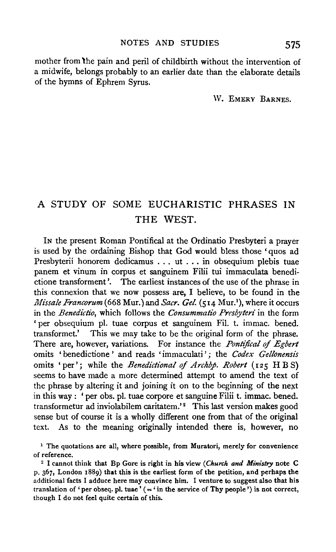mother from 'the pain and peril of childbirth without the intervention of a midwife, belongs probably to an earlier date than the elaborate details of the hymns of Ephrem Syrus.

W. EMERY BARNES.

## A STUDY OF SOME EUCHARISTIC PHRASES IN THE WEST.

IN the present Roman Pontifical at the Ordinatio Presbyteri a prayer is used by the ordaining Bishop that God would bless those 'quos ad Presbyterii honorem dedicamus . . . ut . . . in obsequium plebis tuae panem et vinum in corpus et sanguinem Filii tui immaculata benedictione transforment '. The earliest instances of the use of the phrase in this connexion that we now possess are, I believe, to be found in the *Missale Francorum* (668 Mur.) and *Sacr. Gel.* (514 Mur.<sup>1</sup>), where it occurs in the *Benedictio,* which follows the *Consummatio Presbyteri* in the form 'per obsequium pl. tuae corpus et sanguinem Fil. t. immac. bened. transformet.' This we may take to be the original form of the phrase. There are, however, variations. For instance the *Ponttjical* of *Egbert*  omits 'benedictione ' and reads 'immaculati '; the *Codex Gellonensis*  omits 'per'; while the *Benedictional of Archbp. Robert* (125 H B S) seems to have made a more determined attempt to amend the text of the phrase by altering it and joining it on to the beginning of the next in this way : ' per obs. pl. tuae corpore et sanguine Filii t. immac. bened. transformetur ad inviolabilem caritatem.'<sup>2</sup> This last version makes good sense but of course it is a wholly different one from that of the original text. As to the meaning originally intended there is, however, no

<sup>&</sup>lt;sup>1</sup> The quotations are all, where possible, from Muratori, merely for convenience of reference.

<sup>2</sup> I cannot think that Bp Gore is right in his view *(Church and Ministry* note C p. 367, London 1889) that this is the earliest form of the petition, and perhaps the additional facts I adduce here may convince him. I venture to suggest also that his translation of 'per obseq. pl. tuae' ( $=$ 'in the service of Thy people') is not correct, though I do not feel quite certain of this.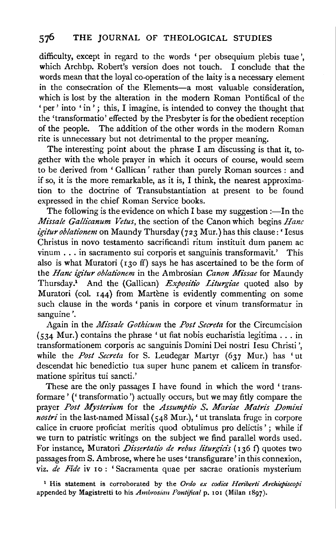difficulty, except in regard to the words 'per obsequium plebis tuae ', which Archbp. Robert's version does not touch. I conclude that the words mean that the loyal co-operation of the laity is a necessary element in the consecration of the Elements-a most valuable consideration, which is lost by the alteration in the modern Roman Pontifical of the ' per' into ' in'; this, I imagine, is intended to convey the thought that the 'transformatio' effected by the Presbyter is for the obedient reception of the people. The addition of the other words in the modern Roman rite is unnecessary but not detrimental to the proper meaning.

The interesting point about the phrase I am discussing is that it, together with the whole prayer in which it occurs of course, would seem to be derived from ' Gallican' rather than purely Roman sources : and if so, it is the more remarkable, as it is, I think, the nearest approximation to the doctrine of Transubstantiation at present to be found expressed in the chief Roman Service books.

The following is the evidence on which I base my suggestion  $:$ —In the *Missale Gallicanum Vetus,* the section of the Canon which begins *Hanc igituroblationem* on Maundy Thursday (723 Mur.) has this clause:' Iesus Christus in novo testamento sacrificandi ritum instituit dum panem ac vinum . . . in sacramento sui corporis et sanguinis transformavit.' This also is what Muratori ( $130 \text{ ff}$ ) says he has ascertained to be the form of the *Hanc igitur oblationem* in the Ambrosian *Canon Mi'ssae* for Maundy Thursday.1 And the (Gallican) *Expositio Liturgiae* quoted also by Muratori (col. 144) from Martène is evidently commenting on some such clause in the words ' panis in corpore et vinum transformatur in sanguine'.

Again in the *Mi'ssale Gothicum* the *Post Secreta* for the Circumcision  $(534$  Mur.) contains the phrase 'ut fiat nobis eucharistia legitima . . . in transformationem corporis ac sanguinis Domini Dei nostri Iesu Christi ', while the *Post Secreta* for S. Leudegar Martyr (637 Mur.) has 'ut descendat hie benedictio tua super hunc panem et calicem in transformatione spiritus tui sancti.'

These are the only passages I have found in which the word 'transformare' (' transformatio ') actually occurs, but we may fitly compare the prayer *Post Mysterium* for the *Assumptio S. Mariae Matrr's Domini nostri* in the last-named Missal (548 Mur.), 'ut translata fruge in corpore calice in cruore proficiat meritis quod obtulimus pro delictis'; while if we turn to patristic writings on the subject we find parallel words used. For instance, Muratori *Dissertatio de rebus liturgids* (136 f) quotes two passages from S. Ambrose, where he uses' transfigurare' in this connexion, viz. de Fide iv 10: 'Sacramenta quae per sacrae orationis mysterium

<sup>1</sup> His statement is corroborated by the Ordo ex codice Heriberti Archiepiscopi appended by Magistretti to his *Ambrosian Pontifical* p. 101 (Milan 1897).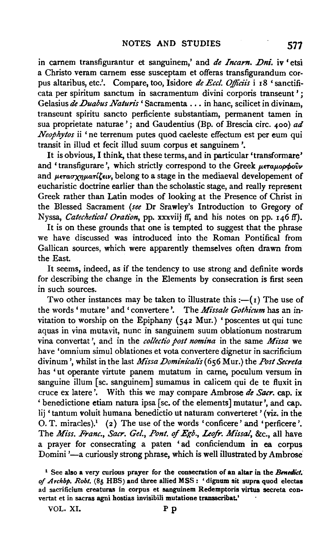in carnem transfigurantur et sanguinem,' and *de Incarn. Dni.* iv 'etsi a Christo veram carnem esse susceptam et offeras transfigurandum corpus altaribus, etc.'. Compare, too, Isidore *de Eccl. Officiis* i 18 'sanctificata per spiritum sanctum in sacramentum divini corporis transeunt'; Gelasius de Duabus Naturis 'Sacramenta . . . in hanc, scilicet in divinam, transeunt spiritu sancto perficiente substantiam, permanent tamen in sua proprietate naturae '; and Gaudentius (Bp. of Brescia circ. 400) *ad Neophytos* ii 'ne terrenum putes quod caeleste effectum est per eum qui transit in illud et fecit illud suum corpus et sanguinem '.

It is obvious, I think, that these terms, and in particular 'transformare' and 'transfigurare', which strictly correspond to the Greek *Leta Loopoov* and *μετασχηματίζειν*, belong to a stage in the mediaeval developement of eucharistic doctrine earlier than the scholastic stage, and really represent Greek rather than Latin modes of looking at the Presence of Christ in the Blessed Sacrament *(see* Dr Srawley's Introduction to Gregory of Nyssa, *Catechetical Oration,* pp. xxxviij ff, and his notes on pp. 146 ff).

It is on these grounds that one is tempted to suggest that the phrase we have discussed was introduced into the Roman Pontifical from Gallican sources, which were apparently themselves often drawn from the East.

It seems, indeed, as if the tendency to use strong and definite words for describing the change in the Elements by consecration is first seen in such sources.

Two other instances may be taken to illustrate this  $:-(1)$  The use of the words 'mutare' and 'convertere'. The *Missale Gothicum* has an invitation to worship on the Epiphany  $(542$  Mur.) 'poscentes ut qui tunc aquas in vina mutavit, nunc in sanguinem suum oblationum nostrarum vina convertat ', and in the *collectio post nomina* in the same *Missa* we have 'omnium simul oblationes et vota convertere dignetur in sacrificium divinum', whilst in the last *Missa Dominicalis* (656 Mur.) the *Post Secreta* has 'ut operante virtute panem mutatum in came, poculum versum in sanguine ilium [se. sanguinem] sumamus in calicem qui de te fluxit in cruce ex latere '. With this we may compare Ambrose *de Sacr.* cap. ix ' benedictione etiam natura ipsa [se. of the elements] mutatur ', and cap. lij 'tantum voluit humana benedictio ut naturam converteret' (viz. in the O. T. miracles).<sup>1</sup> (2) The use of the words 'conficere' and 'perficere'. The *Miss. Franc., Sacr. Gel., Pont. of Egb., Leofr. Missal*, &c., all have a prayer for consecrating a paten 'ad conficiendum in ea corpus Domini '-a curiously strong phrase, which is well illustrated by Ambrose

VOL. XI. Pp

<sup>1</sup> See also a very curious prayer for the consecration of an altar in the *Bmedict. of Archbp. Robt.* (85 HBS) and three allied MSS: 'dignum sit supra quod electas ad sacrificium creaturas in corpus et sanguinem Redemptoris virtus secreta convertat et in sacras agni hostias invisibili mutatione transscribat.'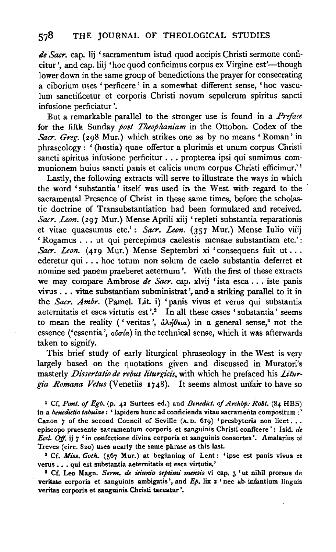## 578 THE JOURNAL OF THEOLOGICAL STUDIES

*de Sacr.* cap. lij 'sacramentum istud quod accipis Christi sermone conficitur', and cap. liij 'hoc quod conficimus corpus ex Virgine est'—though lower down in the same group of benedictions the prayer for consecrating a ciborium uses ' perficere ' in a somewhat different sense, 'hoc vasculum sanctificetur et corporis Christi novum sepulcrum spiritus sancti infusione perficiatur '.

But a remarkable parallel to the stronger use is found in a *Preface*  for the fifth Sunday *post Theophaniam* in the Ottobon. Codex of the *Sacr. Greg.* (298 Mur.) which strikes one as by no means 'Roman' in phraseology: '(hostia) quae offertur a plurimis et unum corpus Christi sancti spiritus infusione perficitur ..• propterea ipsi qui sumimus communionem huius sancti panis et calicis unum corpus Christi efficimur.' 1

Lastly, the following extracts will serve to illustrate the ways in which the word 'substantia' itself was used in the West with regard to the sacramental Presence of Christ in these same times, before the scholastic doctrine of Transubstantiation had been formulated and received. Sacr. Leon. (297 Mur.) Mense Aprili xiij 'repleti substantia reparationis et vitae quaesumus etc.': Sacr. Leon. (357 Mur.) Mense Iulio viiij ' Rogamus ..• ut qui percepimus caelestis mensae substantiam etc.' : Sacr. Leon. (419 Mur.) Mense Septembri xi 'consequens fuit ut ... ederetur qui ..• hoc totum non solum de caelo substantia deferret et nomine sed panem praeberet aeternum'. With the first of these extracts we may compare Ambrose *de Sacr*. cap. xlvij 'ista esca . . . iste panis vivus . . . vitae substantiam subministrat ', and a striking parallel to it in the *Sacr. Ambr.* (Pamel. Lit. i) 'panis vivus et verus qui substantia aeternitatis et esca virtutis est'.<sup>2</sup> In all these cases 'substantia' seems to mean the reality ('veritas',  $\partial \lambda \eta \theta \epsilon \mu a$ ) in a general sense,<sup>3</sup> not the essence ('essentia', *οὐσία*) in the technical sense, which it was afterwards taken to signify.

This brief study of early liturgical phraseology in the West is very largely based on the quotations given and discussed in Muratori's masterly *Dissertatio de rebus liturgicis,* with which he prefaced his *Litur*gia Romana Vetus (Venetiis 1748). It seems almost unfair to have so

<sup>1</sup> Cf. *Pont. of Egb.* (p. 42 Surtees ed.) and *Benedict. of Archbp. Robt.* (84 HBS) in a *benedictio tabulae* : ' lapidem hunc ad conficienda vitae sacramenta compositum :' Canon  $\gamma$  of the second Council of Seville (A. D. 619) 'presbyteris non licet... episcopo praesente sacramentum corporis et sanguinis Christi conficere' : Isid. *de Eccl. Ojf.* ij 7 'in confectione divina corporis et sanguinis consortes '. Amalarius ot Treves (circ. 820) uses nearly the same phrase as this last.

• Cf. *Miss. Goth.* (567 Mur.) at beginning of Lent: 'ipse est panis vivus et verus . . . qui est substantia aeternitatis et esca virtutis.'

<sup>3</sup> Cf. Leo Magn. Serm. de *ieiunio septimi mensis* vi cap. 3 'ut nihil prorsus de veritate corporis et sanguinis ambigatis', and *Ep*. lix 2 'nec ab infantium linguis veritas corporis et sanguinis Christi taceatur'.